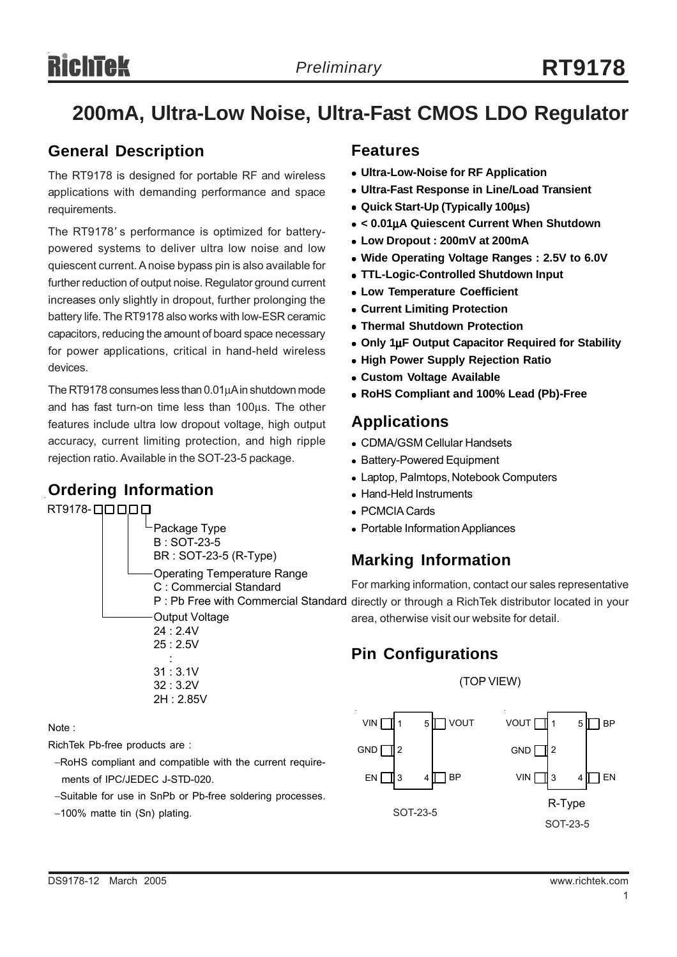## **200mA, Ultra-Low Noise, Ultra-Fast CMOS LDO Regulator**

## **General Description**

The RT9178 is designed for portable RF and wireless applications with demanding performance and space requirements.

The RT9178' s performance is optimized for batterypowered systems to deliver ultra low noise and low quiescent current. A noise bypass pin is also available for further reduction of output noise. Regulator ground current increases only slightly in dropout, further prolonging the battery life. The RT9178 also works with low-ESR ceramic capacitors, reducing the amount of board space necessary for power applications, critical in hand-held wireless devices.

The RT9178 consumes less than 0.01μA in shutdown mode and has fast turn-on time less than 100μs. The other features include ultra low dropout voltage, high output accuracy, current limiting protection, and high ripple rejection ratio. Available in the SOT-23-5 package.

## **Ordering Information**

RT9178-0000 Package Type

B : SOT-23-5 BR : SOT-23-5 (R-Type) Operating Temperature Range C : Commercial Standard

Output Voltage 24 : 2.4V 25 : 2.5V

 : 31 : 3.1V 32 : 3.2V 2H : 2.85V

Note :

RichTek Pb-free products are :

- −RoHS compliant and compatible with the current require ments of IPC/JEDEC J-STD-020.
- −Suitable for use in SnPb or Pb-free soldering processes.
- −100% matte tin (Sn) plating.

### **Features**

- <sup>z</sup> **Ultra-Low-Noise for RF Application**
- <sup>z</sup> **Ultra-Fast Response in Line/Load Transient**
- <sup>z</sup> **Quick Start-Up (Typically 100**μ**s)**
- <sup>z</sup> **< 0.01**μ**A Quiescent Current When Shutdown**
- <sup>z</sup> **Low Dropout : 200mV at 200mA**
- Wide Operating Voltage Ranges : 2.5V to 6.0V
- <sup>z</sup> **TTL-Logic-Controlled Shutdown Input**
- **Low Temperature Coefficient**
- **Current Limiting Protection**
- **Thermal Shutdown Protection**
- <sup>z</sup> **Only 1**μ**F Output Capacitor Required for Stability**
- **High Power Supply Rejection Ratio**
- **Custom Voltage Available**
- <sup>z</sup> **RoHS Compliant and 100% Lead (Pb)-Free**

## **Applications**

- CDMA/GSM Cellular Handsets
- Battery-Powered Equipment
- Laptop, Palmtops, Notebook Computers
- Hand-Held Instruments
- PCMCIA Cards
- Portable Information Appliances

## **Marking Information**

For marking information, contact our sales representative P : Pb Free with Commercial Standard directly or through a RichTek distributor located in your area, otherwise visit our website for detail.

## **Pin Configurations**



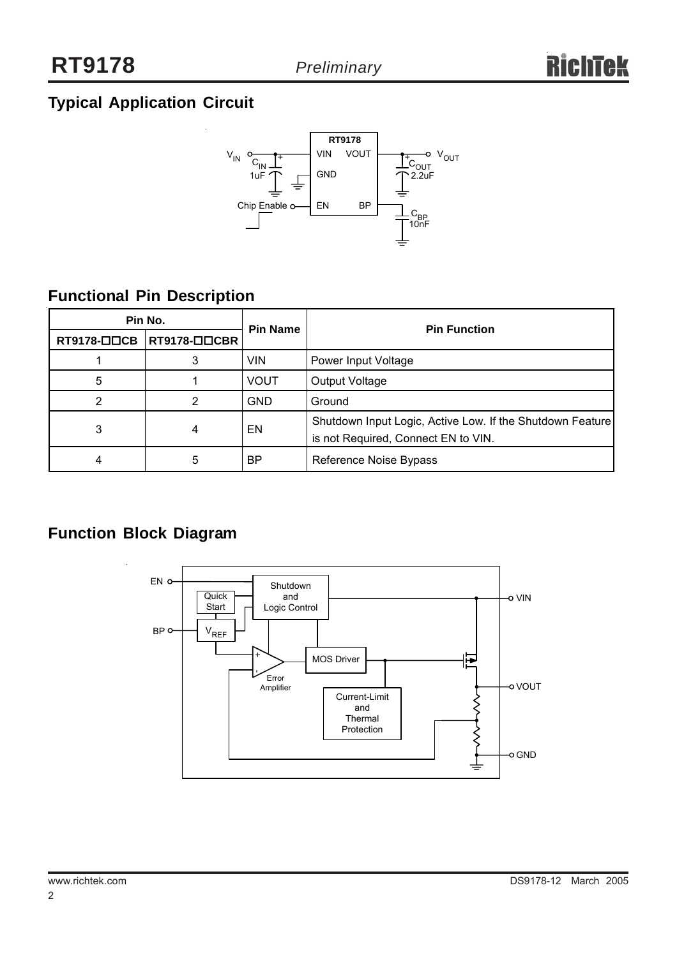## **Typical Application Circuit**



## **Functional Pin Description**

| Pin No.     |                              | <b>Pin Name</b> | <b>Pin Function</b>                                                                              |  |
|-------------|------------------------------|-----------------|--------------------------------------------------------------------------------------------------|--|
| RT9178-□□CB | $ RT9178-\square\square$ CBR |                 |                                                                                                  |  |
|             | 3                            | <b>VIN</b>      | Power Input Voltage                                                                              |  |
| 5           |                              | <b>VOUT</b>     | Output Voltage                                                                                   |  |
| 2           |                              | <b>GND</b>      | Ground                                                                                           |  |
| 3           | 4                            | EN              | Shutdown Input Logic, Active Low. If the Shutdown Feature<br>is not Required, Connect EN to VIN. |  |
| 4           | 5                            | ΒP              | Reference Noise Bypass                                                                           |  |

## **Function Block Diagram**

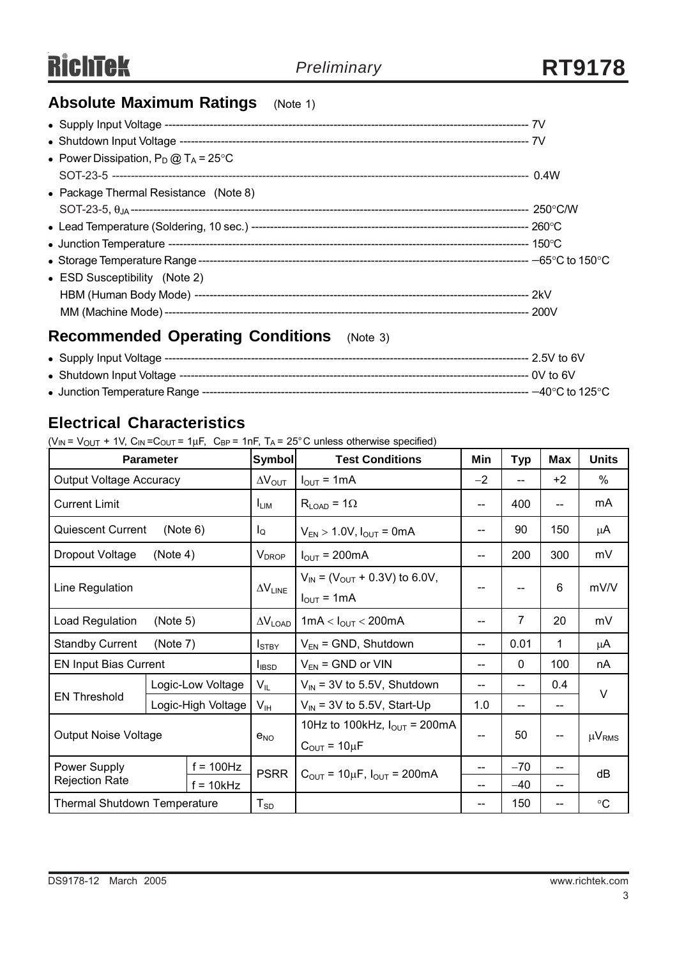## **Absolute Maximum Ratings** (Note 1)

| • Power Dissipation, $P_D @ T_A = 25^{\circ}C$      |  |
|-----------------------------------------------------|--|
|                                                     |  |
| • Package Thermal Resistance (Note 8)               |  |
|                                                     |  |
|                                                     |  |
|                                                     |  |
|                                                     |  |
| • ESD Susceptibility (Note 2)                       |  |
|                                                     |  |
|                                                     |  |
| <b>Recommended Operating Conditions</b><br>(Note 3) |  |
|                                                     |  |

## <sup>z</sup>Shutdown Input Voltage --------------------------------------------------------------------------------------------- 0V to 6V <sup>z</sup>Junction Temperature Range --------------------------------------------------------------------------------------- −40°C to 125°C

## **Electrical Characteristics**

 $(V_{IN} = V_{OUT} + 1V, C_{IN} = C_{OUT} = 1\mu F, C_{BP} = 1nF, T_A = 25^{\circ}C$  unless otherwise specified)

|                                     | <b>Parameter</b>   | <b>Symbol</b>            | <b>Test Conditions</b>                                                    | Min       | <b>Typ</b>   | <b>Max</b>               | <b>Units</b>    |
|-------------------------------------|--------------------|--------------------------|---------------------------------------------------------------------------|-----------|--------------|--------------------------|-----------------|
| <b>Output Voltage Accuracy</b>      |                    | $\Delta V_{\text{OUT}}$  | $I_{\text{OUT}} = 1 \text{mA}$                                            | $-2$      | --           | $+2$                     | %               |
| <b>Current Limit</b>                |                    | <b>LIM</b>               | $R_{LOAD}$ = 1 $\Omega$                                                   | 400<br>-- |              | $\overline{\phantom{a}}$ | mA              |
| <b>Quiescent Current</b>            | (Note 6)           | $I_{\mathsf{Q}}$         | $V_{EN}$ > 1.0V, $I_{OUT}$ = 0mA<br>--                                    |           | 90           | 150                      | μA              |
| Dropout Voltage                     | (Note 4)           | $V_{DROP}$               | $I_{OUT}$ = 200mA                                                         | --        | 200          | 300                      | mV              |
| Line Regulation                     |                    | $\Delta V_{LINE}$        | $V_{IN}$ = ( $V_{OUT}$ + 0.3V) to 6.0V,<br>$I_{\text{OUT}} = 1 \text{mA}$ |           |              | 6                        | mV/V            |
| Load Regulation                     | (Note 5)           | $\Delta V_{\text{LOAD}}$ | 1mA < $I_{OUT}$ < 200mA                                                   | --        | 7            | 20                       | mV              |
| <b>Standby Current</b>              | (Note 7)           | I <sub>STBY</sub>        | $V_{EN}$ = GND, Shutdown                                                  | --        | 0.01         | 1                        | μA              |
| <b>EN Input Bias Current</b>        |                    | $I_{IBSD}$               | $V_{EN}$ = GND or VIN                                                     | --        | $\mathbf{0}$ | 100                      | nA              |
| <b>EN Threshold</b>                 | Logic-Low Voltage  | $V_{IL}$                 | $V_{\text{IN}}$ = 3V to 5.5V, Shutdown                                    | --        | --           | 0.4                      | V               |
|                                     | Logic-High Voltage | $V_{IH}$                 | $V_{IN}$ = 3V to 5.5V, Start-Up                                           | 1.0       | --           | $-$                      |                 |
| <b>Output Noise Voltage</b>         |                    | $e_{NO}$                 | 10Hz to 100kHz, $I_{OUT}$ = 200mA<br>$C_{\text{OUT}} = 10 \mu F$          | --        | 50           | --                       | $\mu V_{RMS}$   |
| Power Supply                        | $f = 100$ Hz       | <b>PSRR</b>              | $C_{\text{OUT}} = 10 \mu F$ , $I_{\text{OUT}} = 200 \text{mA}$            |           | $-70$        | --                       | dB              |
| <b>Rejection Rate</b>               | $f = 10k$ Hz       |                          |                                                                           | --        | $-40$        | --                       |                 |
| <b>Thermal Shutdown Temperature</b> |                    | ${\sf T}_{\texttt{SD}}$  |                                                                           |           | 150          | --                       | $\rm ^{\circ}C$ |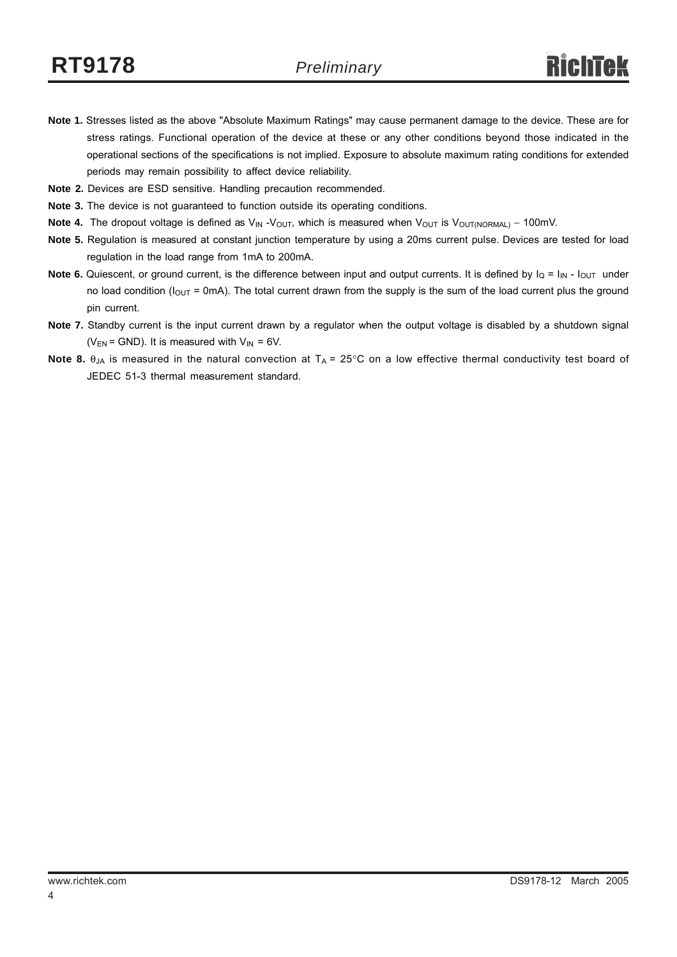- **Note 1.** Stresses listed as the above "Absolute Maximum Ratings" may cause permanent damage to the device. These are for stress ratings. Functional operation of the device at these or any other conditions beyond those indicated in the operational sections of the specifications is not implied. Exposure to absolute maximum rating conditions for extended periods may remain possibility to affect device reliability.
- **Note 2.** Devices are ESD sensitive. Handling precaution recommended.
- **Note 3.** The device is not guaranteed to function outside its operating conditions.
- Note 4. The dropout voltage is defined as V<sub>IN</sub> -V<sub>OUT</sub>, which is measured when V<sub>OUT</sub> is V<sub>OUT(NORMAL)</sub> − 100mV.
- **Note 5.** Regulation is measured at constant junction temperature by using a 20ms current pulse. Devices are tested for load regulation in the load range from 1mA to 200mA.
- **Note 6.** Quiescent, or ground current, is the difference between input and output currents. It is defined by  $I_Q = I_{IN} I_{OUT}$  under no load condition ( $I_{OUT}$  = 0mA). The total current drawn from the supply is the sum of the load current plus the ground pin current.
- **Note 7.** Standby current is the input current drawn by a regulator when the output voltage is disabled by a shutdown signal ( $V_{EN}$  = GND). It is measured with  $V_{IN}$  = 6V.
- **Note 8.**  $\theta_{JA}$  is measured in the natural convection at  $T_A = 25^{\circ}C$  on a low effective thermal conductivity test board of JEDEC 51-3 thermal measurement standard.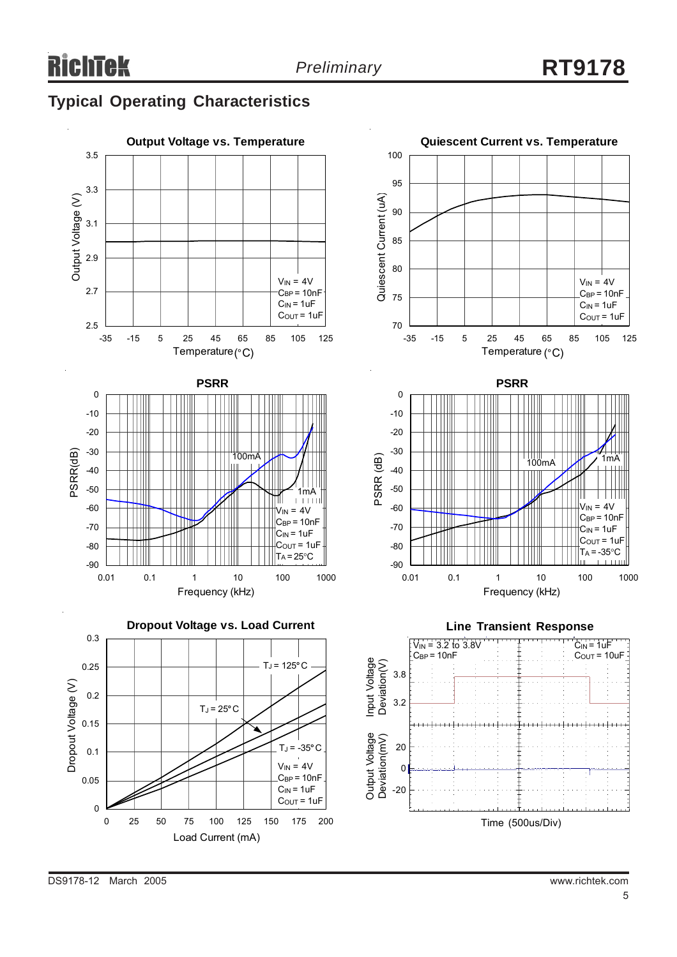## **Typical Operating Characteristics**







**Line Transient Response**  $V_{\text{IN}} = 3.2 \text{ to } 3.8V$  $C<sub>IN</sub>$  = 1uF  $C_{\text{BP}} = 10nF$  $C_{\text{OUT}} = 10uF$ Input Voltage<br>Deviation(V) Input Voltage Deviation(V) 3.8 3.2 Output Voltage<br>Deviation(mV) Output Voltage Deviation(mV) 20 0 -20 Time (500us/Div)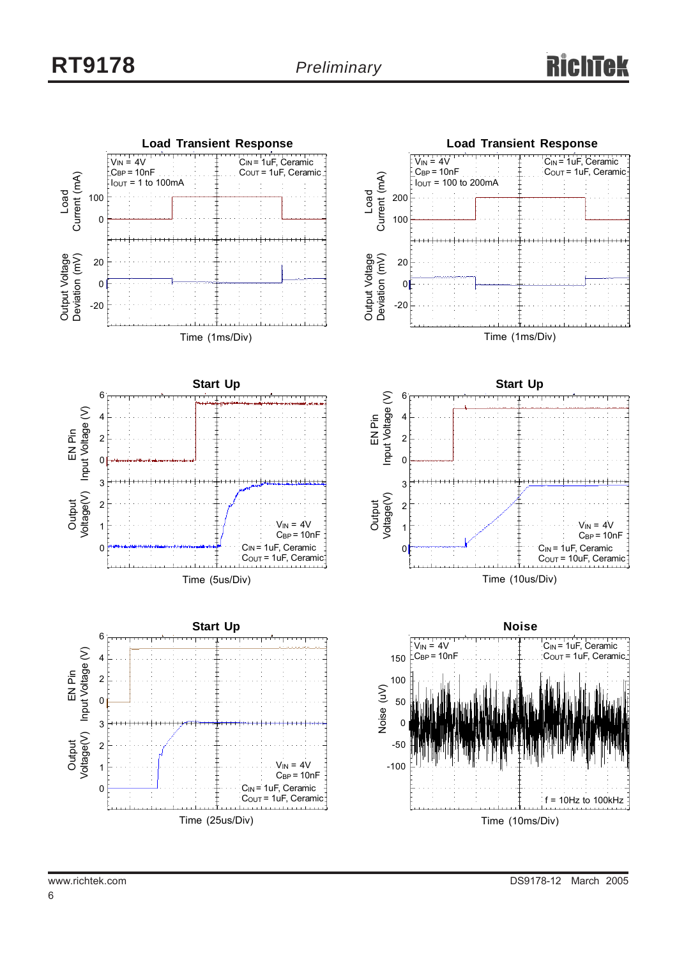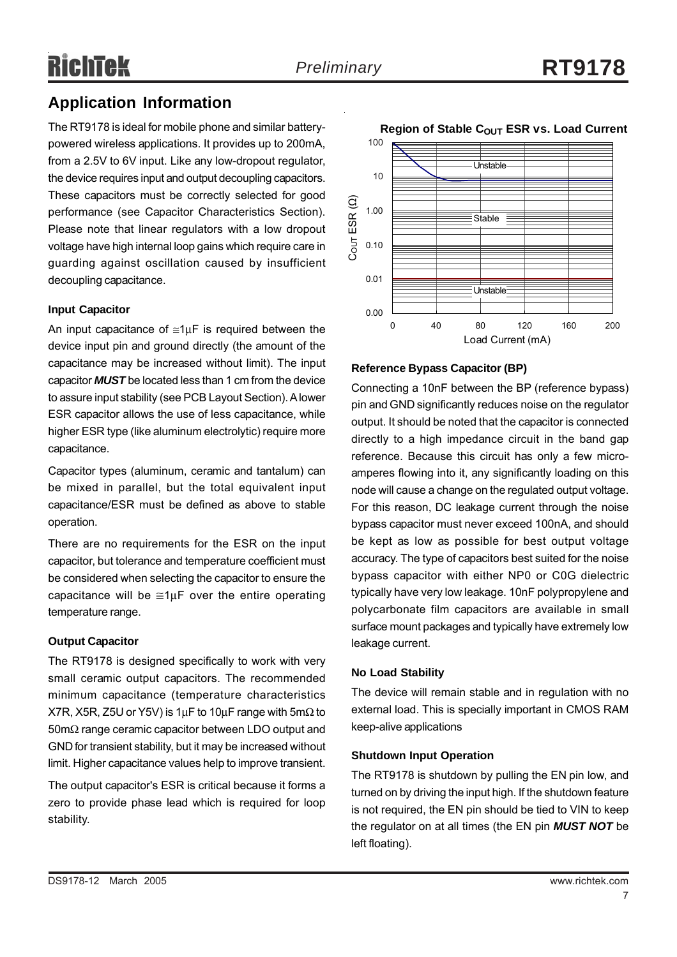## **Application Information**

The RT9178 is ideal for mobile phone and similar batterypowered wireless applications. It provides up to 200mA, from a 2.5V to 6V input. Like any low-dropout regulator, the device requires input and output decoupling capacitors. These capacitors must be correctly selected for good performance (see Capacitor Characteristics Section). Please note that linear regulators with a low dropout voltage have high internal loop gains which require care in guarding against oscillation caused by insufficient decoupling capacitance.

#### **Input Capacitor**

An input capacitance of  $\leq 1 \mu$ F is required between the device input pin and ground directly (the amount of the capacitance may be increased without limit). The input capacitor *MUST* be located less than 1 cm from the device to assure input stability (see PCB Layout Section). A lower ESR capacitor allows the use of less capacitance, while higher ESR type (like aluminum electrolytic) require more capacitance.

Capacitor types (aluminum, ceramic and tantalum) can be mixed in parallel, but the total equivalent input capacitance/ESR must be defined as above to stable operation.

There are no requirements for the ESR on the input capacitor, but tolerance and temperature coefficient must be considered when selecting the capacitor to ensure the capacitance will be  $\cong 1\mu$ F over the entire operating temperature range.

#### **Output Capacitor**

The RT9178 is designed specifically to work with very small ceramic output capacitors. The recommended minimum capacitance (temperature characteristics X7R, X5R, Z5U or Y5V) is 1µF to 10µF range with 5m $\Omega$  to 50mΩ range ceramic capacitor between LDO output and GND for transient stability, but it may be increased without limit. Higher capacitance values help to improve transient.

The output capacitor's ESR is critical because it forms a zero to provide phase lead which is required for loop stability.



**Reference Bypass Capacitor (BP)**

Connecting a 10nF between the BP (reference bypass) pin and GND significantly reduces noise on the regulator output. It should be noted that the capacitor is connected directly to a high impedance circuit in the band gap reference. Because this circuit has only a few microamperes flowing into it, any significantly loading on this node will cause a change on the regulated output voltage. For this reason, DC leakage current through the noise bypass capacitor must never exceed 100nA, and should be kept as low as possible for best output voltage accuracy. The type of capacitors best suited for the noise bypass capacitor with either NP0 or C0G dielectric typically have very low leakage. 10nF polypropylene and polycarbonate film capacitors are available in small surface mount packages and typically have extremely low leakage current.

#### **No Load Stability**

The device will remain stable and in regulation with no external load. This is specially important in CMOS RAM keep-alive applications

#### **Shutdown Input Operation**

The RT9178 is shutdown by pulling the EN pin low, and turned on by driving the input high. If the shutdown feature is not required, the EN pin should be tied to VIN to keep the regulator on at all times (the EN pin *MUST NOT* be left floating).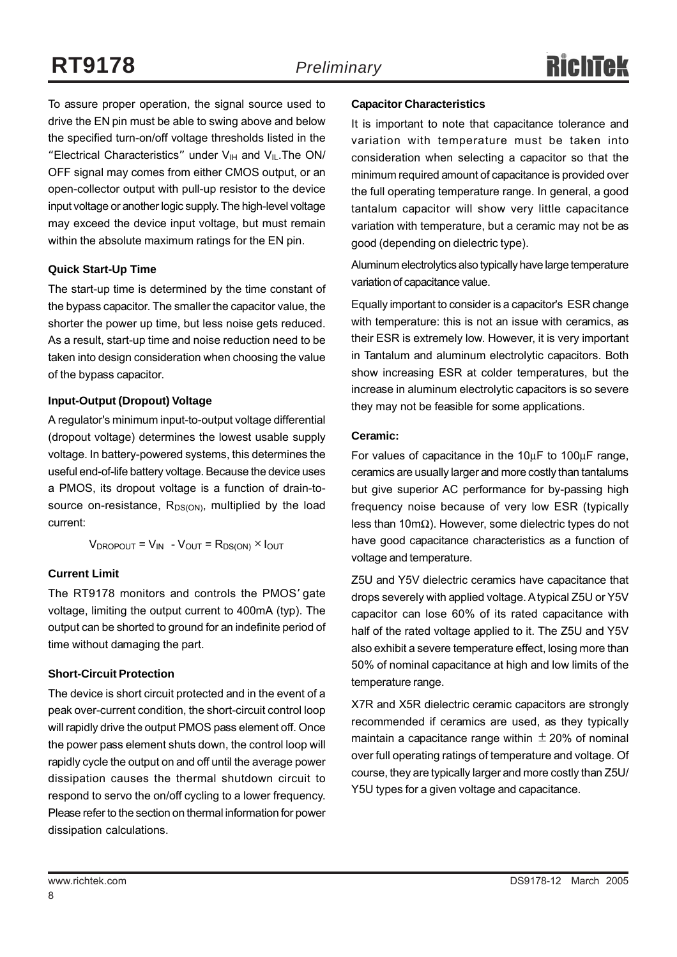To assure proper operation, the signal source used to drive the EN pin must be able to swing above and below the specified turn-on/off voltage thresholds listed in the "Electrical Characteristics" under  $V_{\text{IH}}$  and  $V_{\text{IL}}$ . The ON/ OFF signal may comes from either CMOS output, or an open-collector output with pull-up resistor to the device input voltage or another logic supply. The high-level voltage may exceed the device input voltage, but must remain within the absolute maximum ratings for the EN pin.

#### **Quick Start-Up Time**

The start-up time is determined by the time constant of the bypass capacitor. The smaller the capacitor value, the shorter the power up time, but less noise gets reduced. As a result, start-up time and noise reduction need to be taken into design consideration when choosing the value of the bypass capacitor.

#### **Input-Output (Dropout) Voltage**

A regulator's minimum input-to-output voltage differential (dropout voltage) determines the lowest usable supply voltage. In battery-powered systems, this determines the useful end-of-life battery voltage. Because the device uses a PMOS, its dropout voltage is a function of drain-tosource on-resistance,  $R_{DS(ON)}$ , multiplied by the load current:

 $V_{\text{DROPOUT}} = V_{\text{IN}} - V_{\text{OUT}} = R_{\text{DS(ON)}} \times I_{\text{OUT}}$ 

#### **Current Limit**

The RT9178 monitors and controls the PMOS' gate voltage, limiting the output current to 400mA (typ). The output can be shorted to ground for an indefinite period of time without damaging the part.

#### **Short-Circuit Protection**

The device is short circuit protected and in the event of a peak over-current condition, the short-circuit control loop will rapidly drive the output PMOS pass element off. Once the power pass element shuts down, the control loop will rapidly cycle the output on and off until the average power dissipation causes the thermal shutdown circuit to respond to servo the on/off cycling to a lower frequency. Please refer to the section on thermal information for power dissipation calculations.

#### **Capacitor Characteristics**

It is important to note that capacitance tolerance and variation with temperature must be taken into consideration when selecting a capacitor so that the minimum required amount of capacitance is provided over the full operating temperature range. In general, a good tantalum capacitor will show very little capacitance variation with temperature, but a ceramic may not be as good (depending on dielectric type).

Aluminum electrolytics also typically have large temperature variation of capacitance value.

Equally important to consider is a capacitor's ESR change with temperature: this is not an issue with ceramics, as their ESR is extremely low. However, it is very important in Tantalum and aluminum electrolytic capacitors. Both show increasing ESR at colder temperatures, but the increase in aluminum electrolytic capacitors is so severe they may not be feasible for some applications.

#### **Ceramic:**

For values of capacitance in the 10μF to 100μF range, ceramics are usually larger and more costly than tantalums but give superior AC performance for by-passing high frequency noise because of very low ESR (typically less than 10mΩ). However, some dielectric types do not have good capacitance characteristics as a function of voltage and temperature.

Z5U and Y5V dielectric ceramics have capacitance that drops severely with applied voltage. A typical Z5U or Y5V capacitor can lose 60% of its rated capacitance with half of the rated voltage applied to it. The Z5U and Y5V also exhibit a severe temperature effect, losing more than 50% of nominal capacitance at high and low limits of the temperature range.

X7R and X5R dielectric ceramic capacitors are strongly recommended if ceramics are used, as they typically maintain a capacitance range within  $\pm$  20% of nominal over full operating ratings of temperature and voltage. Of course, they are typically larger and more costly than Z5U/ Y5U types for a given voltage and capacitance.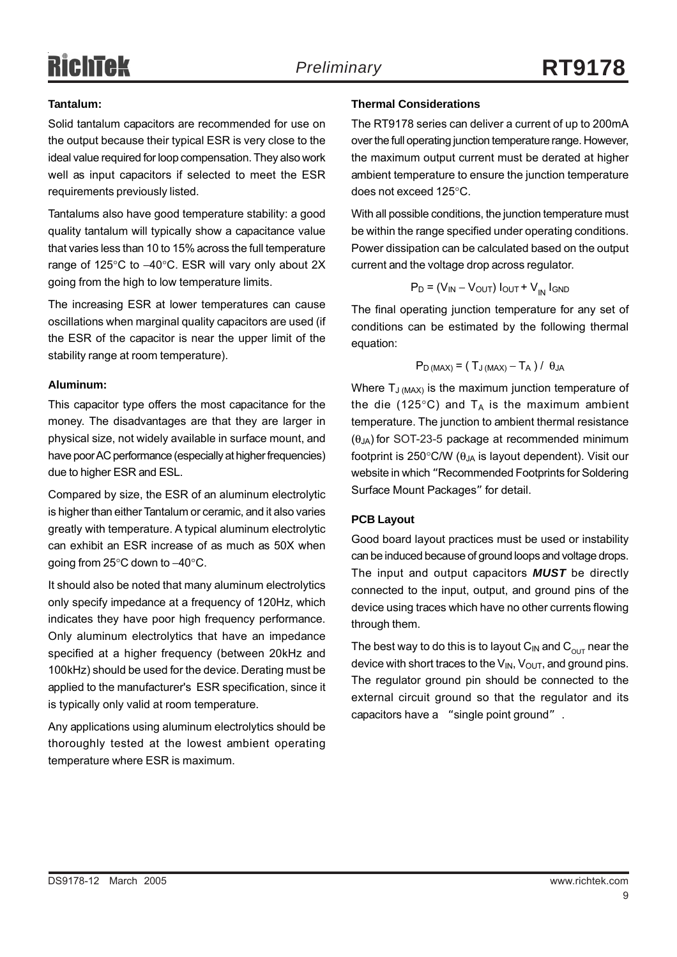# **RichTek**

#### **Tantalum:**

Solid tantalum capacitors are recommended for use on the output because their typical ESR is very close to the ideal value required for loop compensation. They also work well as input capacitors if selected to meet the ESR requirements previously listed.

Tantalums also have good temperature stability: a good quality tantalum will typically show a capacitance value that varies less than 10 to 15% across the full temperature range of 125°C to −40°C. ESR will vary only about 2X going from the high to low temperature limits.

The increasing ESR at lower temperatures can cause oscillations when marginal quality capacitors are used (if the ESR of the capacitor is near the upper limit of the stability range at room temperature).

#### **Aluminum:**

This capacitor type offers the most capacitance for the money. The disadvantages are that they are larger in physical size, not widely available in surface mount, and have poor AC performance (especially at higher frequencies) due to higher ESR and ESL.

Compared by size, the ESR of an aluminum electrolytic is higher than either Tantalum or ceramic, and it also varies greatly with temperature. A typical aluminum electrolytic can exhibit an ESR increase of as much as 50X when going from 25°C down to −40°C.

It should also be noted that many aluminum electrolytics only specify impedance at a frequency of 120Hz, which indicates they have poor high frequency performance. Only aluminum electrolytics that have an impedance specified at a higher frequency (between 20kHz and 100kHz) should be used for the device. Derating must be applied to the manufacturer's ESR specification, since it is typically only valid at room temperature.

Any applications using aluminum electrolytics should be thoroughly tested at the lowest ambient operating temperature where ESR is maximum.

#### **Thermal Considerations**

The RT9178 series can deliver a current of up to 200mA over the full operating junction temperature range. However, the maximum output current must be derated at higher ambient temperature to ensure the junction temperature does not exceed 125°C.

With all possible conditions, the junction temperature must be within the range specified under operating conditions. Power dissipation can be calculated based on the output current and the voltage drop across regulator.

$$
P_D = (V_{IN} - V_{OUT}) I_{OUT} + V_{IN} I_{GND}
$$

The final operating junction temperature for any set of conditions can be estimated by the following thermal equation:

$$
P_{D\,(MAX)} = (T_{J\,(MAX)} - T_A / J \theta_{JA}
$$

Where  $T_{J (MAX)}$  is the maximum junction temperature of the die (125 $\degree$ C) and T<sub>A</sub> is the maximum ambient temperature. The junction to ambient thermal resistance  $(\theta_{JA})$  for SOT-23-5 package at recommended minimum footprint is 250 $\degree$ C/W ( $\theta_{JA}$  is layout dependent). Visit our website in which "Recommended Footprints for Soldering Surface Mount Packages" for detail.

#### **PCB Layout**

Good board layout practices must be used or instability can be induced because of ground loops and voltage drops. The input and output capacitors *MUST* be directly connected to the input, output, and ground pins of the device using traces which have no other currents flowing through them.

The best way to do this is to layout  $C_{IN}$  and  $C_{OUT}$  near the device with short traces to the  $V_{IN}$ ,  $V_{OUT}$ , and ground pins. The regulator ground pin should be connected to the external circuit ground so that the regulator and its capacitors have a "single point ground" .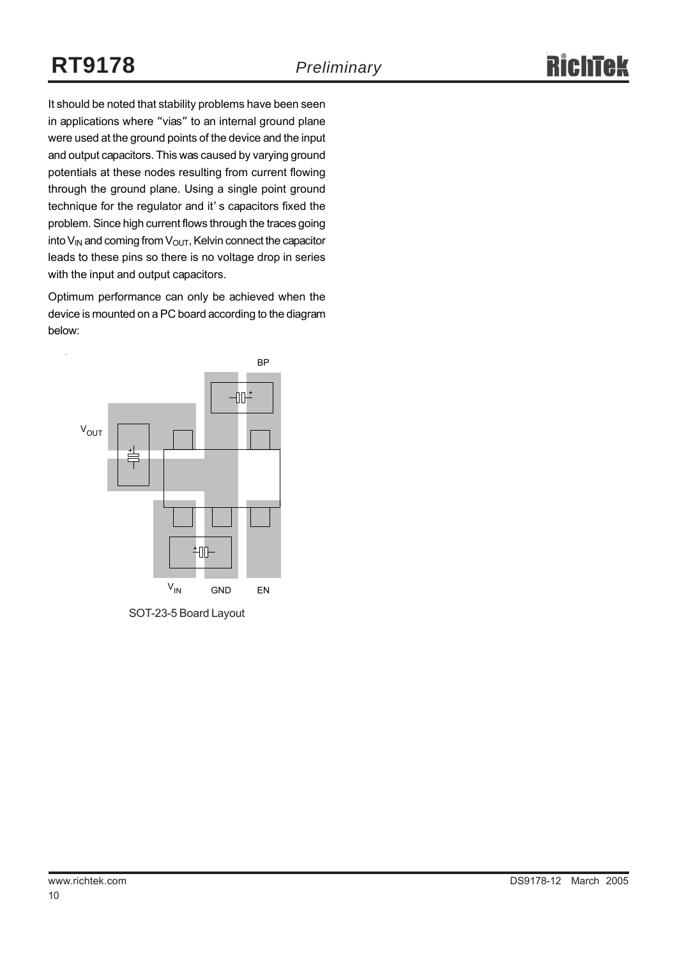It should be noted that stability problems have been seen in applications where "vias" to an internal ground plane were used at the ground points of the device and the input and output capacitors. This was caused by varying ground potentials at these nodes resulting from current flowing through the ground plane. Using a single point ground technique for the regulator and it' s capacitors fixed the problem. Since high current flows through the traces going into  $V_{IN}$  and coming from  $V_{OUT}$ , Kelvin connect the capacitor leads to these pins so there is no voltage drop in series with the input and output capacitors.

Optimum performance can only be achieved when the device is mounted on a PC board according to the diagram below:



SOT-23-5 Board Layout